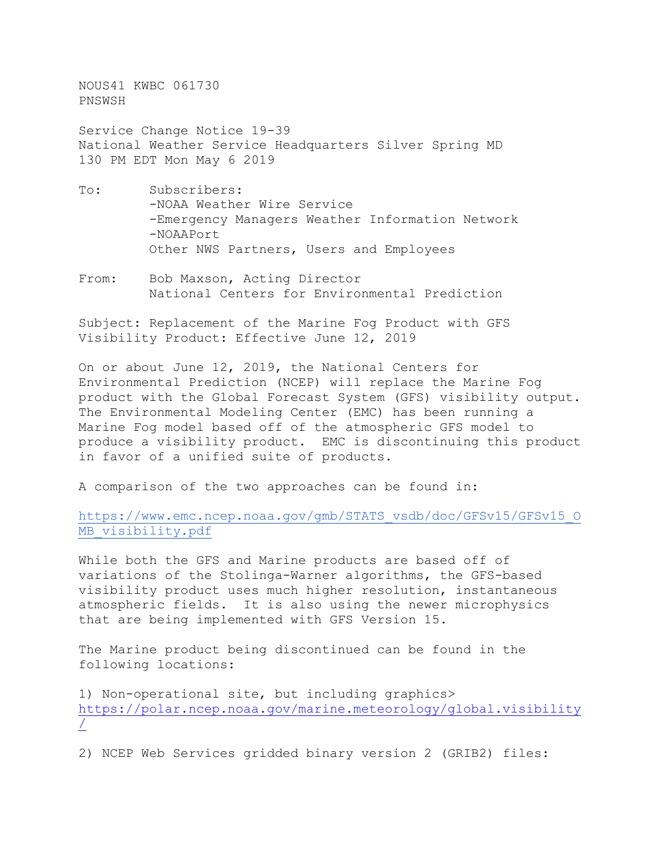NOUS41 KWBC 061730 PNSWSH

Service Change Notice 19-39 National Weather Service Headquarters Silver Spring MD 130 PM EDT Mon May 6 2019

- To: Subscribers: -NOAA Weather Wire Service -Emergency Managers Weather Information Network -NOAAPort Other NWS Partners, Users and Employees
- From: Bob Maxson, Acting Director National Centers for Environmental Prediction

Subject: Replacement of the Marine Fog Product with GFS Visibility Product: Effective June 12, 2019

On or about June 12, 2019, the National Centers for Environmental Prediction (NCEP) will replace the Marine Fog product with the Global Forecast System (GFS) visibility output. The Environmental Modeling Center (EMC) has been running a Marine Fog model based off of the atmospheric GFS model to produce a visibility product. EMC is discontinuing this product in favor of a unified suite of products.

A comparison of the two approaches can be found in:

[https://www.emc.ncep.noaa.gov/gmb/STATS\\_vsdb/doc/GFSv15/GFSv15\\_O](https://www.emc.ncep.noaa.gov/gmb/STATS_vsdb/doc/GFSv15/GFSv15_OMB_visibility.pdf) [MB\\_visibility.pdf](https://www.emc.ncep.noaa.gov/gmb/STATS_vsdb/doc/GFSv15/GFSv15_OMB_visibility.pdf)

While both the GFS and Marine products are based off of variations of the Stolinga-Warner algorithms, the GFS-based visibility product uses much higher resolution, instantaneous atmospheric fields. It is also using the newer microphysics that are being implemented with GFS Version 15.

The Marine product being discontinued can be found in the following locations:

1) Non-operational site, but including graphics> [https://polar.ncep.noaa.gov/marine.meteorology/global.visibility](https://polar.ncep.noaa.gov/marine.meteorology/global.visibility/) [/](https://polar.ncep.noaa.gov/marine.meteorology/global.visibility/)

2) NCEP Web Services gridded binary version 2 (GRIB2) files: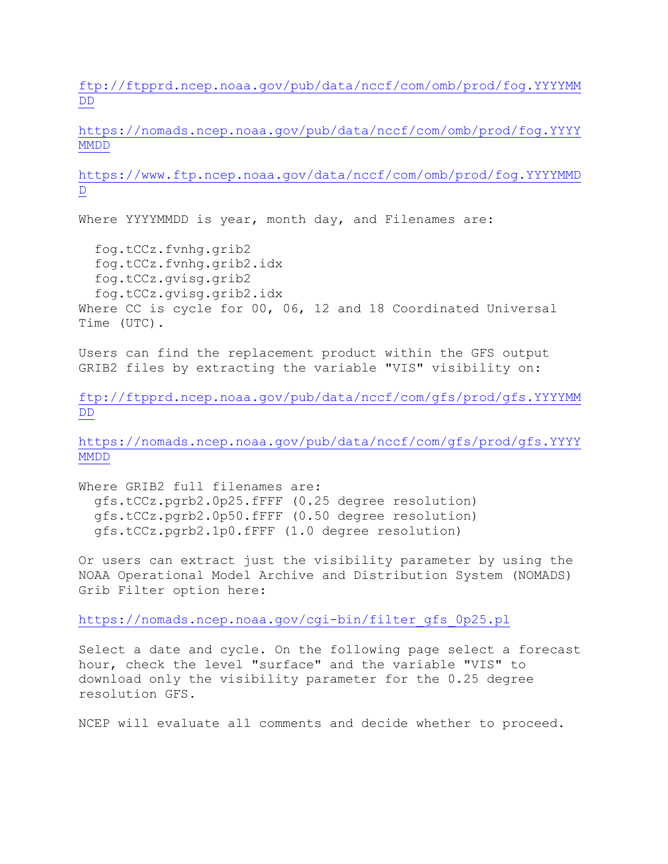[ftp://ftpprd.ncep.noaa.gov/pub/data/nccf/com/omb/prod/fog.YYYYMM](ftp://ftpprd.ncep.noaa.gov/pub/data/nccf/com/omb/prod/fog.YYYYMMDD) [DD](ftp://ftpprd.ncep.noaa.gov/pub/data/nccf/com/omb/prod/fog.YYYYMMDD)

[https://nomads.ncep.noaa.gov/pub/data/nccf/com/omb/prod/fog.YYYY](https://nomads.ncep.noaa.gov/pub/data/nccf/com/omb/prod/fog.YYYYMMDD) [MMDD](https://nomads.ncep.noaa.gov/pub/data/nccf/com/omb/prod/fog.YYYYMMDD)

[https://www.ftp.ncep.noaa.gov/data/nccf/com/omb/prod/fog.YYYYMMD](https://www.ftp.ncep.noaa.gov/data/nccf/com/omb/prod/fog.YYYYMMDD)  $\mathbb D$  $\mathbb D$ 

Where YYYYMMDD is year, month day, and Filenames are:

 fog.tCCz.fvnhg.grib2 fog.tCCz.fvnhg.grib2.idx fog.tCCz.gvisg.grib2 fog.tCCz.gvisg.grib2.idx Where CC is cycle for 00, 06, 12 and 18 Coordinated Universal Time (UTC).

Users can find the replacement product within the GFS output GRIB2 files by extracting the variable "VIS" visibility on:

[ftp://ftpprd.ncep.noaa.gov/pub/data/nccf/com/gfs/prod/gfs.YYYYMM](ftp://ftpprd.ncep.noaa.gov/pub/data/nccf/com/gfs/prod/gfs.YYYYMMDD) [DD](ftp://ftpprd.ncep.noaa.gov/pub/data/nccf/com/gfs/prod/gfs.YYYYMMDD)

[https://nomads.ncep.noaa.gov/pub/data/nccf/com/gfs/prod/gfs.YYYY](https://nomads.ncep.noaa.gov/pub/data/nccf/com/gfs/prod/gfs.YYYYMMDD) [MMDD](https://nomads.ncep.noaa.gov/pub/data/nccf/com/gfs/prod/gfs.YYYYMMDD)

Where GRIB2 full filenames are: gfs.tCCz.pgrb2.0p25.fFFF (0.25 degree resolution) gfs.tCCz.pgrb2.0p50.fFFF (0.50 degree resolution) gfs.tCCz.pgrb2.1p0.fFFF (1.0 degree resolution)

Or users can extract just the visibility parameter by using the NOAA Operational Model Archive and Distribution System (NOMADS) Grib Filter option here:

[https://nomads.ncep.noaa.gov/cgi-bin/filter\\_gfs\\_0p25.pl](https://nomads.ncep.noaa.gov/cgi-bin/filter_gfs_0p25.pl)

Select a date and cycle. On the following page select a forecast hour, check the level "surface" and the variable "VIS" to download only the visibility parameter for the 0.25 degree resolution GFS.

NCEP will evaluate all comments and decide whether to proceed.